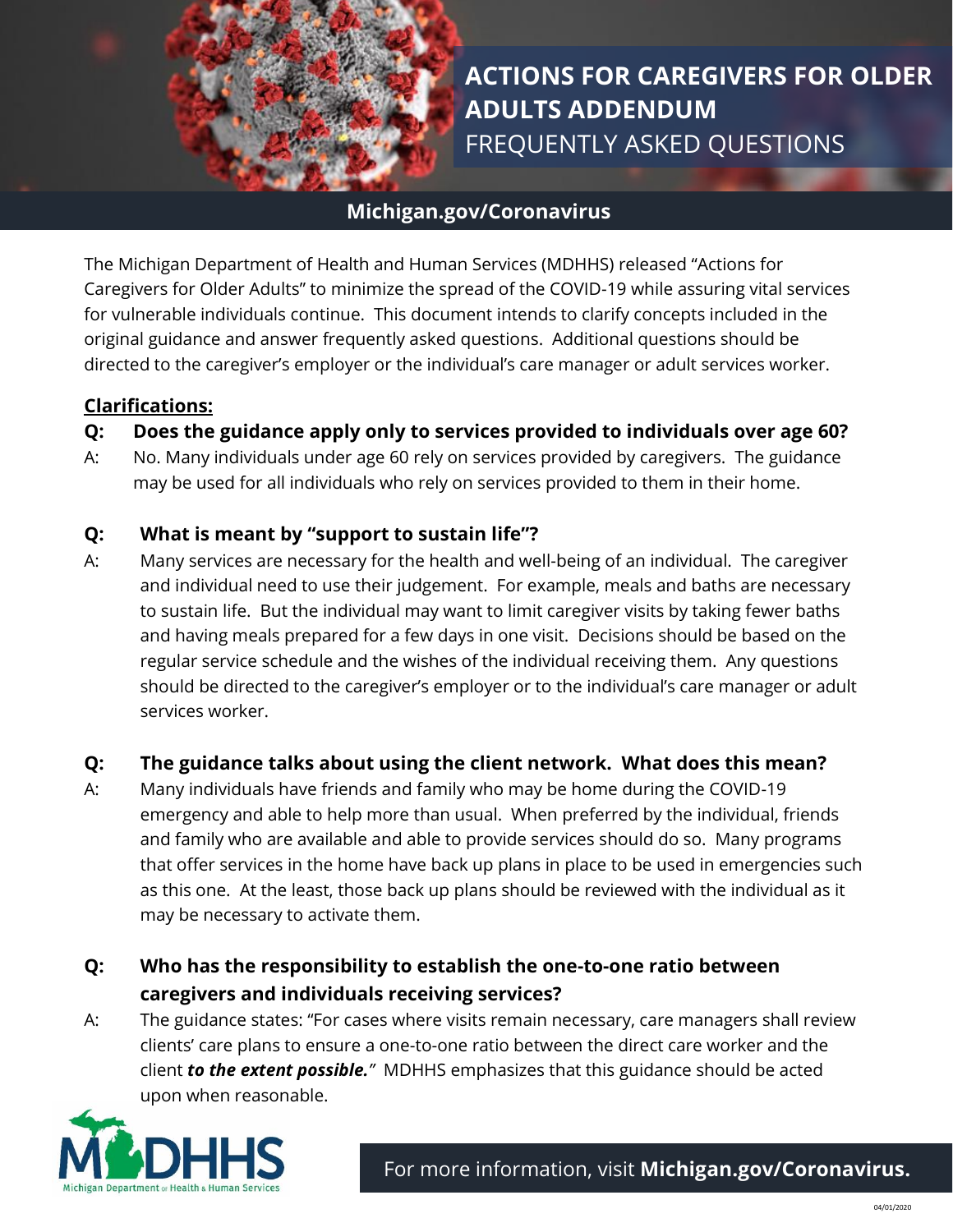

# **ACTIONS FOR CAREGIVERS FOR OLDER ADULTS ADDENDUM** FREQUENTLY ASKED QUESTIONS

# **Michigan.gov/Coronavirus**

The Michigan Department of Health and Human Services (MDHHS) released "Actions for Caregivers for Older Adults" to minimize the spread of the COVID-19 while assuring vital services for vulnerable individuals continue. This document intends to clarify concepts included in the original guidance and answer frequently asked questions. Additional questions should be directed to the caregiver's employer or the individual's care manager or adult services worker.

#### **Clarifications:**

#### **Q: Does the guidance apply only to services provided to individuals over age 60?**

A: No. Many individuals under age 60 rely on services provided by caregivers. The guidance may be used for all individuals who rely on services provided to them in their home.

#### **Q: What is meant by "support to sustain life"?**

A: Many services are necessary for the health and well-being of an individual. The caregiver and individual need to use their judgement. For example, meals and baths are necessary to sustain life. But the individual may want to limit caregiver visits by taking fewer baths and having meals prepared for a few days in one visit. Decisions should be based on the regular service schedule and the wishes of the individual receiving them. Any questions should be directed to the caregiver's employer or to the individual's care manager or adult services worker.

# **Q: The guidance talks about using the client network. What does this mean?**

A: Many individuals have friends and family who may be home during the COVID-19 emergency and able to help more than usual. When preferred by the individual, friends and family who are available and able to provide services should do so. Many programs that offer services in the home have back up plans in place to be used in emergencies such as this one. At the least, those back up plans should be reviewed with the individual as it may be necessary to activate them.

# **Q: Who has the responsibility to establish the one-to-one ratio between caregivers and individuals receiving services?**

A: The guidance states: "For cases where visits remain necessary, care managers shall review clients' care plans to ensure a one-to-one ratio between the direct care worker and the client *to the extent possible."* MDHHS emphasizes that this guidance should be acted upon when reasonable.

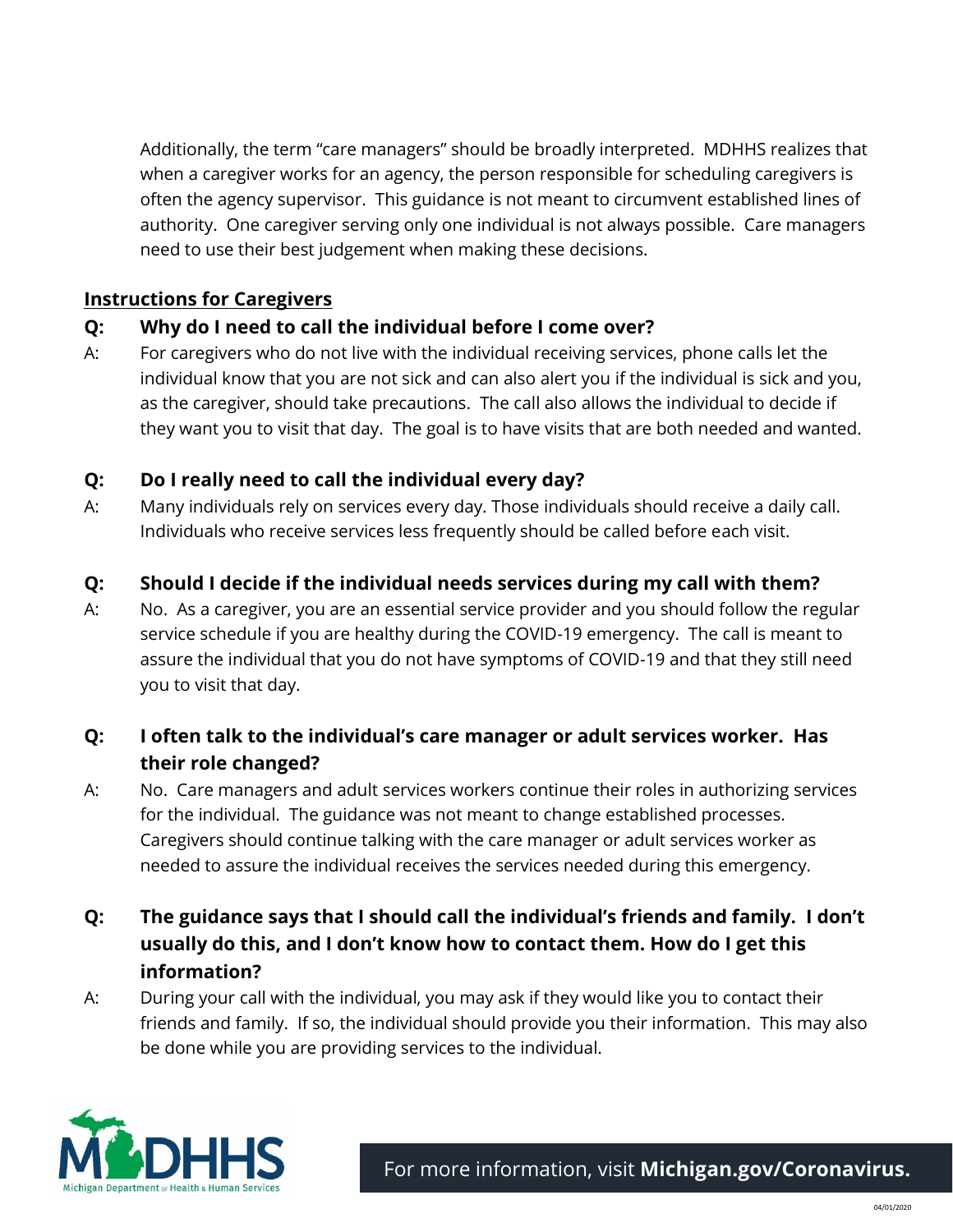Additionally, the term "care managers" should be broadly interpreted. MDHHS realizes that when a caregiver works for an agency, the person responsible for scheduling caregivers is often the agency supervisor. This guidance is not meant to circumvent established lines of authority. One caregiver serving only one individual is not always possible. Care managers need to use their best judgement when making these decisions.

## **Instructions for Caregivers**

# **Q: Why do I need to call the individual before I come over?**

A: For caregivers who do not live with the individual receiving services, phone calls let the individual know that you are not sick and can also alert you if the individual is sick and you, as the caregiver, should take precautions. The call also allows the individual to decide if they want you to visit that day. The goal is to have visits that are both needed and wanted.

#### **Q: Do I really need to call the individual every day?**

A: Many individuals rely on services every day. Those individuals should receive a daily call. Individuals who receive services less frequently should be called before each visit.

#### **Q: Should I decide if the individual needs services during my call with them?**

A: No. As a caregiver, you are an essential service provider and you should follow the regular service schedule if you are healthy during the COVID-19 emergency. The call is meant to assure the individual that you do not have symptoms of COVID-19 and that they still need you to visit that day.

# **Q: I often talk to the individual's care manager or adult services worker. Has their role changed?**

- A: No. Care managers and adult services workers continue their roles in authorizing services for the individual. The guidance was not meant to change established processes. Caregivers should continue talking with the care manager or adult services worker as needed to assure the individual receives the services needed during this emergency.
- **Q: The guidance says that I should call the individual's friends and family. I don't usually do this, and I don't know how to contact them. How do I get this information?**
- A: During your call with the individual, you may ask if they would like you to contact their friends and family. If so, the individual should provide you their information. This may also be done while you are providing services to the individual.

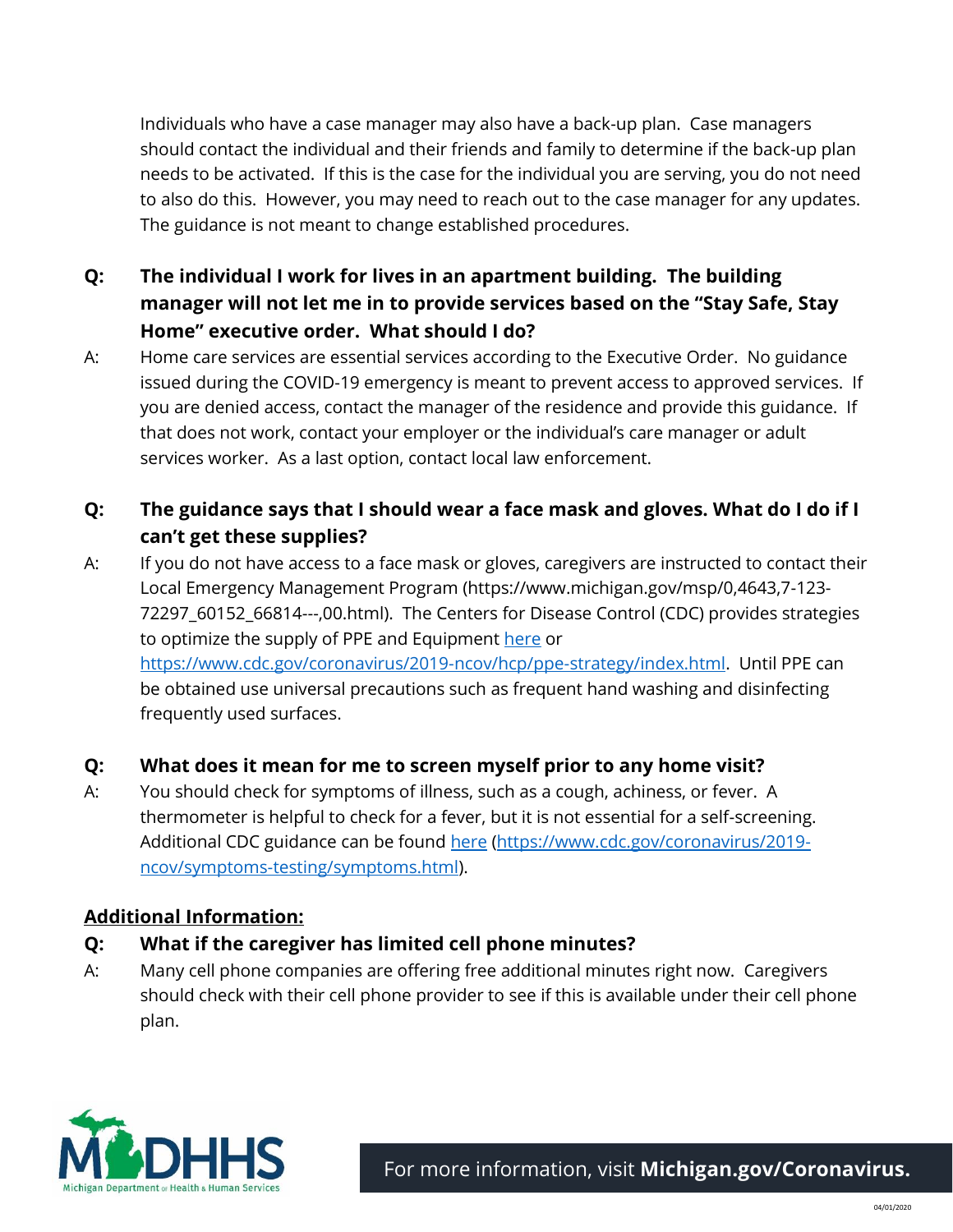Individuals who have a case manager may also have a back-up plan. Case managers should contact the individual and their friends and family to determine if the back-up plan needs to be activated. If this is the case for the individual you are serving, you do not need to also do this. However, you may need to reach out to the case manager for any updates. The guidance is not meant to change established procedures.

- **Q: The individual I work for lives in an apartment building. The building manager will not let me in to provide services based on the "Stay Safe, Stay Home" executive order. What should I do?**
- A: Home care services are essential services according to the Executive Order. No guidance issued during the COVID-19 emergency is meant to prevent access to approved services. If you are denied access, contact the manager of the residence and provide this guidance. If that does not work, contact your employer or the individual's care manager or adult services worker. As a last option, contact local law enforcement.

# **Q: The guidance says that I should wear a face mask and gloves. What do I do if I can't get these supplies?**

A: If you do not have access to a face mask or gloves, caregivers are instructed to contact their Local Emergency Management Program (https://www.michigan.gov/msp/0,4643,7-123- 72297\_60152\_66814---,00.html). The Centers for Disease Control (CDC) provides strategies to optimize the supply of PPE and Equipment [here](https://www.cdc.gov/coronavirus/2019-ncov/hcp/ppe-strategy/index.html) or [https://www.cdc.gov/coronavirus/2019-ncov/hcp/ppe-strategy/index.html.](https://www.cdc.gov/coronavirus/2019-ncov/hcp/ppe-strategy/index.html) Until PPE can be obtained use universal precautions such as frequent hand washing and disinfecting frequently used surfaces.

# **Q: What does it mean for me to screen myself prior to any home visit?**

A: You should check for symptoms of illness, such as a cough, achiness, or fever. A thermometer is helpful to check for a fever, but it is not essential for a self-screening. Additional CDC guidance can be found [here](https://www.cdc.gov/coronavirus/2019-ncov/symptoms-testing/symptoms.html) [\(https://www.cdc.gov/coronavirus/2019](https://www.cdc.gov/coronavirus/2019-ncov/symptoms-testing/symptoms.html) [ncov/symptoms-testing/symptoms.html\)](https://www.cdc.gov/coronavirus/2019-ncov/symptoms-testing/symptoms.html).

# **Additional Information:**

# **Q: What if the caregiver has limited cell phone minutes?**

A: Many cell phone companies are offering free additional minutes right now. Caregivers should check with their cell phone provider to see if this is available under their cell phone plan.